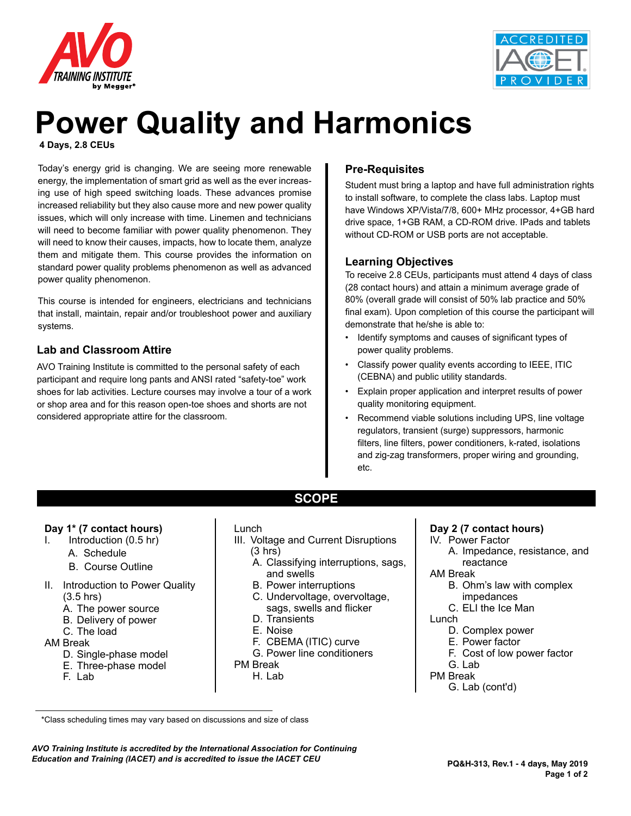



# **Power Quality and Harmonics**

**4 Days, 2.8 CEUs**

Today's energy grid is changing. We are seeing more renewable energy, the implementation of smart grid as well as the ever increasing use of high speed switching loads. These advances promise increased reliability but they also cause more and new power quality issues, which will only increase with time. Linemen and technicians will need to become familiar with power quality phenomenon. They will need to know their causes, impacts, how to locate them, analyze them and mitigate them. This course provides the information on standard power quality problems phenomenon as well as advanced power quality phenomenon.

This course is intended for engineers, electricians and technicians that install, maintain, repair and/or troubleshoot power and auxiliary systems.

#### **Lab and Classroom Attire**

AVO Training Institute is committed to the personal safety of each participant and require long pants and ANSI rated "safety-toe" work shoes for lab activities. Lecture courses may involve a tour of a work or shop area and for this reason open-toe shoes and shorts are not considered appropriate attire for the classroom.

#### **Pre-Requisites**

Student must bring a laptop and have full administration rights to install software, to complete the class labs. Laptop must have Windows XP/Vista/7/8, 600+ MHz processor, 4+GB hard drive space, 1+GB RAM, a CD-ROM drive. IPads and tablets without CD-ROM or USB ports are not acceptable.

#### **Learning Objectives**

To receive 2.8 CEUs, participants must attend 4 days of class (28 contact hours) and attain a minimum average grade of 80% (overall grade will consist of 50% lab practice and 50% final exam). Upon completion of this course the participant will demonstrate that he/she is able to:

- Identify symptoms and causes of significant types of power quality problems.
- Classify power quality events according to IEEE, ITIC (CEBNA) and public utility standards.
- Explain proper application and interpret results of power quality monitoring equipment.
- Recommend viable solutions including UPS, line voltage regulators, transient (surge) suppressors, harmonic filters, line filters, power conditioners, k-rated, isolations and zig-zag transformers, proper wiring and grounding, etc.

### **Day 1\* (7 contact hours)**

- Introduction  $(0.5$  hr)
	- A. Schedule
	- B. Course Outline
- II. Introduction to Power Quality (3.5 hrs)
	- A. The power source
	- B. Delivery of power
	- C. The load

#### AM Break

- D. Single-phase model
- E. Three-phase model
- F. Lab

#### Lunch

III. Voltage and Current Disruptions (3 hrs)

**SCOPE**

- A. Classifying interruptions, sags, and swells
- B. Power interruptions
- C. Undervoltage, overvoltage, sags, swells and flicker
- D. Transients
- E. Noise
- F. CBEMA (ITIC) curve
- G. Power line conditioners
- PM Break
	- H. Lab

#### **Day 2 (7 contact hours)**

- IV. Power Factor
	- A. Impedance, resistance, and reactance
- AM Break
	- B. Ohm's law with complex impedances
	- C. ELI the Ice Man
- Lunch
	- D. Complex power
	- E. Power factor
	- F. Cost of low power factor
	- G. Lab
- PM Break G. Lab (cont'd)

\*Class scheduling times may vary based on discussions and size of class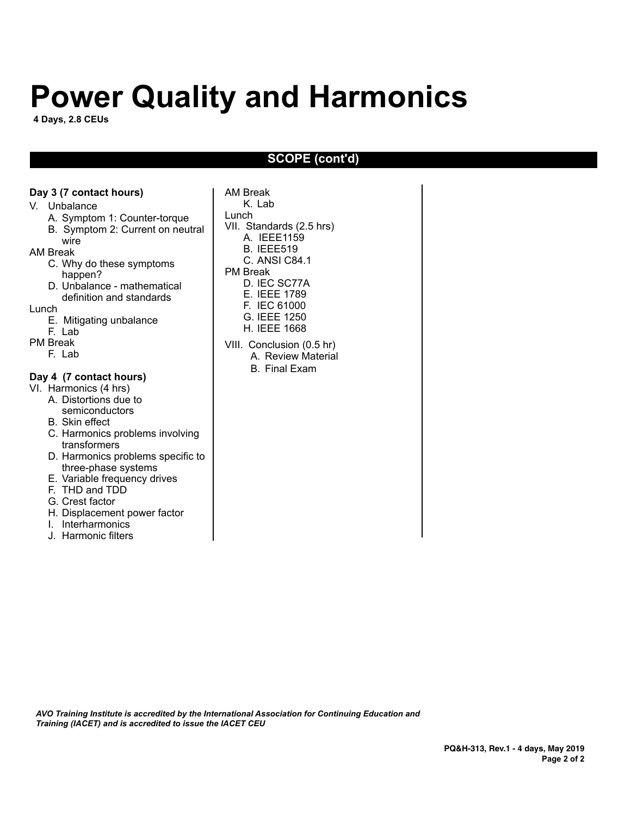# **Power Quality and Harmonics**

**4 Days, 2.8 CEUs**

#### **SCOPE (cont'd)**

#### **Day 3 (7 contact hours)**

#### V. Unbalance

- A. Symptom 1: Counter-torque
- B. Symptom 2: Current on neutral

#### wire

- AM Break
	- C. Why do these symptoms happen?
	- D. Unbalance mathematical definition and standards
- Lunch
	- E. Mitigating unbalance
- F. Lab PM Break
- F. Lab
	-

#### **Day 4 (7 contact hours)**

- VI. Harmonics (4 hrs)
	- A. Distortions due to semiconductors
	- B. Skin effect
	- C. Harmonics problems involving transformers
	- D. Harmonics problems specific to three-phase systems
	- E. Variable frequency drives
	- F. THD and TDD
	- G. Crest factor
	- H. Displacement power factor
	- I. Interharmonics
	- J. Harmonic filters

AM Break K. Lab Lunch VII. Standards (2.5 hrs) A. IEEE1159 B. IEEE519 C. ANSI C84.1 PM Break D. IEC SC77A E. IEEE 1789 F. IEC 61000 G. IEEE 1250 H. IEEE 1668 VIII. Conclusion (0.5 hr) A. Review Material B. Final Exam